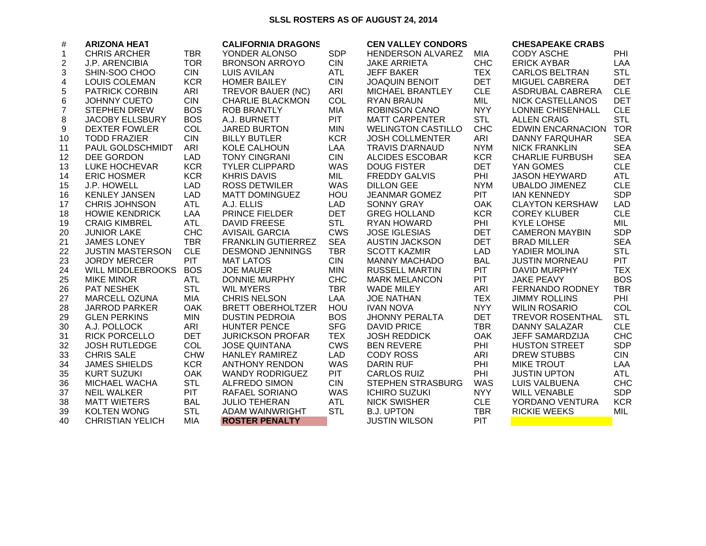## SLSL ROSTERS AS OF AUGUST 24, 2014

| $\#$           | <b>ARIZONA HEAT</b>     |            | <b>CALIFORNIA DRAGONS</b> |            | <b>CEN VALLEY CONDORS</b> |            | <b>CHESAPEAKE CRABS</b>  |            |
|----------------|-------------------------|------------|---------------------------|------------|---------------------------|------------|--------------------------|------------|
| $\mathbf{1}$   | <b>CHRIS ARCHER</b>     | <b>TBR</b> | YONDER ALONSO             | <b>SDP</b> | HENDERSON ALVAREZ         | MIA        | <b>CODY ASCHE</b>        | PHI        |
| 2              | <b>J.P. ARENCIBIA</b>   | <b>TOR</b> | <b>BRONSON ARROYO</b>     | <b>CIN</b> | <b>JAKE ARRIETA</b>       | <b>CHC</b> | <b>ERICK AYBAR</b>       | <b>LAA</b> |
| 3              | SHIN-SOO CHOO           | <b>CIN</b> | <b>LUIS AVILAN</b>        | <b>ATL</b> | <b>JEFF BAKER</b>         | <b>TEX</b> | <b>CARLOS BELTRAN</b>    | <b>STL</b> |
| 4              | <b>LOUIS COLEMAN</b>    | <b>KCR</b> | <b>HOMER BAILEY</b>       | <b>CIN</b> | <b>JOAQUIN BENOIT</b>     | <b>DET</b> | <b>MIGUEL CABRERA</b>    | <b>DET</b> |
| 5              | <b>PATRICK CORBIN</b>   | ARI        | TREVOR BAUER (NC)         | <b>ARI</b> | <b>MICHAEL BRANTLEY</b>   | <b>CLE</b> | ASDRUBAL CABRERA         | <b>CLE</b> |
| 6              | <b>JOHNNY CUETO</b>     | <b>CIN</b> | <b>CHARLIE BLACKMON</b>   | <b>COL</b> | <b>RYAN BRAUN</b>         | <b>MIL</b> | NICK CASTELLANOS         | <b>DET</b> |
| $\overline{7}$ | <b>STEPHEN DREW</b>     | <b>BOS</b> | <b>ROB BRANTLY</b>        | MIA        | <b>ROBINSON CANO</b>      | <b>NYY</b> | <b>LONNIE CHISENHALL</b> | <b>CLE</b> |
| 8              | <b>JACOBY ELLSBURY</b>  | <b>BOS</b> | A.J. BURNETT              | <b>PIT</b> | <b>MATT CARPENTER</b>     | <b>STL</b> | <b>ALLEN CRAIG</b>       | <b>STL</b> |
| 9              | <b>DEXTER FOWLER</b>    | COL        | <b>JARED BURTON</b>       | <b>MIN</b> | <b>WELINGTON CASTILLO</b> | <b>CHC</b> | <b>EDWIN ENCARNACION</b> | <b>TOR</b> |
| 10             | <b>TODD FRAZIER</b>     | <b>CIN</b> | <b>BILLY BUTLER</b>       | <b>KCR</b> | <b>JOSH COLLMENTER</b>    | ARI        | DANNY FARQUHAR           | <b>SEA</b> |
| 11             | PAUL GOLDSCHMIDT        | ARI        | KOLE CALHOUN              | LAA        | <b>TRAVIS D'ARNAUD</b>    | <b>NYM</b> | <b>NICK FRANKLIN</b>     | <b>SEA</b> |
| 12             | DEE GORDON              | <b>LAD</b> | <b>TONY CINGRANI</b>      | <b>CIN</b> | <b>ALCIDES ESCOBAR</b>    | <b>KCR</b> | <b>CHARLIE FURBUSH</b>   | <b>SEA</b> |
| 13             | <b>LUKE HOCHEVAR</b>    | <b>KCR</b> | <b>TYLER CLIPPARD</b>     | <b>WAS</b> | <b>DOUG FISTER</b>        | <b>DET</b> | YAN GOMES                | <b>CLE</b> |
| 14             | <b>ERIC HOSMER</b>      | <b>KCR</b> | <b>KHRIS DAVIS</b>        | MIL        | <b>FREDDY GALVIS</b>      | PHI        | JASON HEYWARD            | ATL        |
| 15             | J.P. HOWELL             | <b>LAD</b> | <b>ROSS DETWILER</b>      | <b>WAS</b> | <b>DILLON GEE</b>         | <b>NYM</b> | <b>UBALDO JIMENEZ</b>    | <b>CLE</b> |
| 16             | <b>KENLEY JANSEN</b>    | <b>LAD</b> | <b>MATT DOMINGUEZ</b>     | <b>HOU</b> | <b>JEANMAR GOMEZ</b>      | <b>PIT</b> | <b>IAN KENNEDY</b>       | <b>SDP</b> |
| 17             | <b>CHRIS JOHNSON</b>    | <b>ATL</b> | A.J. ELLIS                | <b>LAD</b> | <b>SONNY GRAY</b>         | <b>OAK</b> | <b>CLAYTON KERSHAW</b>   | <b>LAD</b> |
| 18             | <b>HOWIE KENDRICK</b>   | LAA        | PRINCE FIELDER            | <b>DET</b> | <b>GREG HOLLAND</b>       | <b>KCR</b> | <b>COREY KLUBER</b>      | <b>CLE</b> |
| 19             | <b>CRAIG KIMBREL</b>    | ATL        | <b>DAVID FREESE</b>       | <b>STL</b> | RYAN HOWARD               | PHI        | <b>KYLE LOHSE</b>        | MIL        |
| 20             | <b>JUNIOR LAKE</b>      | <b>CHC</b> | <b>AVISAIL GARCIA</b>     | <b>CWS</b> | <b>JOSE IGLESIAS</b>      | <b>DET</b> | <b>CAMERON MAYBIN</b>    | <b>SDP</b> |
| 21             | <b>JAMES LONEY</b>      | <b>TBR</b> | <b>FRANKLIN GUTIERREZ</b> | <b>SEA</b> | <b>AUSTIN JACKSON</b>     | <b>DET</b> | <b>BRAD MILLER</b>       | <b>SEA</b> |
| 22             | <b>JUSTIN MASTERSON</b> | <b>CLE</b> | <b>DESMOND JENNINGS</b>   | <b>TBR</b> | <b>SCOTT KAZMIR</b>       | <b>LAD</b> | YADIER MOLINA            | <b>STL</b> |
| 23             | <b>JORDY MERCER</b>     | <b>PIT</b> | <b>MAT LATOS</b>          | <b>CIN</b> | <b>MANNY MACHADO</b>      | <b>BAL</b> | <b>JUSTIN MORNEAU</b>    | <b>PIT</b> |
| 24             | WILL MIDDLEBROOKS       | <b>BOS</b> | <b>JOE MAUER</b>          | <b>MIN</b> | <b>RUSSELL MARTIN</b>     | <b>PIT</b> | DAVID MURPHY             | <b>TEX</b> |
| 25             | <b>MIKE MINOR</b>       | <b>ATL</b> | <b>DONNIE MURPHY</b>      | <b>CHC</b> | <b>MARK MELANCON</b>      | <b>PIT</b> | <b>JAKE PEAVY</b>        | <b>BOS</b> |
| 26             | PAT NESHEK              | <b>STL</b> | <b>WIL MYERS</b>          | <b>TBR</b> | <b>WADE MILEY</b>         | ARI        | FERNANDO RODNEY          | <b>TBR</b> |
| 27             | MARCELL OZUNA           | <b>MIA</b> | <b>CHRIS NELSON</b>       | LAA        | <b>JOE NATHAN</b>         | <b>TEX</b> | <b>JIMMY ROLLINS</b>     | PHI        |
| 28             | <b>JARROD PARKER</b>    | OAK        | <b>BRETT OBERHOLTZER</b>  | HOU        | <b>IVAN NOVA</b>          | <b>NYY</b> | <b>WILIN ROSARIO</b>     | COL        |
| 29             | <b>GLEN PERKINS</b>     | <b>MIN</b> | <b>DUSTIN PEDROIA</b>     | <b>BOS</b> | <b>JHONNY PERALTA</b>     | <b>DET</b> | <b>TREVOR ROSENTHAL</b>  | <b>STL</b> |
| 30             | A.J. POLLOCK            | ARI        | <b>HUNTER PENCE</b>       | <b>SFG</b> | <b>DAVID PRICE</b>        | <b>TBR</b> | DANNY SALAZAR            | <b>CLE</b> |
| 31             | <b>RICK PORCELLO</b>    | <b>DET</b> | <b>JURICKSON PROFAR</b>   | <b>TEX</b> | <b>JOSH REDDICK</b>       | <b>OAK</b> | <b>JEFF SAMARDZIJA</b>   | <b>CHC</b> |
| 32             | <b>JOSH RUTLEDGE</b>    | <b>COL</b> | <b>JOSE QUINTANA</b>      | <b>CWS</b> | <b>BEN REVERE</b>         | <b>PHI</b> | <b>HUSTON STREET</b>     | <b>SDP</b> |
| 33             | <b>CHRIS SALE</b>       | <b>CHW</b> | <b>HANLEY RAMIREZ</b>     | LAD        | <b>CODY ROSS</b>          | <b>ARI</b> | <b>DREW STUBBS</b>       | <b>CIN</b> |
| 34             | <b>JAMES SHIELDS</b>    | <b>KCR</b> | <b>ANTHONY RENDON</b>     | <b>WAS</b> | <b>DARIN RUF</b>          | PHI        | <b>MIKE TROUT</b>        | LAA        |
| 35             | <b>KURT SUZUKI</b>      | <b>OAK</b> | <b>WANDY RODRIGUEZ</b>    | <b>PIT</b> | <b>CARLOS RUIZ</b>        | PHI        | <b>JUSTIN UPTON</b>      | <b>ATL</b> |
| 36             | MICHAEL WACHA           | <b>STL</b> | <b>ALFREDO SIMON</b>      | <b>CIN</b> | <b>STEPHEN STRASBURG</b>  | <b>WAS</b> | LUIS VALBUENA            | <b>CHC</b> |
| 37             | <b>NEIL WALKER</b>      | PIT        | RAFAEL SORIANO            | <b>WAS</b> | <b>ICHIRO SUZUKI</b>      | <b>NYY</b> | <b>WILL VENABLE</b>      | <b>SDP</b> |
| 38             | <b>MATT WIETERS</b>     | <b>BAL</b> | <b>JULIO TEHERAN</b>      | ATL        | <b>NICK SWISHER</b>       | <b>CLE</b> | YORDANO VENTURA          | <b>KCR</b> |
| 39             | <b>KOLTEN WONG</b>      | <b>STL</b> | ADAM WAINWRIGHT           | <b>STL</b> | <b>B.J. UPTON</b>         | <b>TBR</b> | <b>RICKIE WEEKS</b>      | MIL        |
| 40             | <b>CHRISTIAN YELICH</b> | <b>MIA</b> | <b>ROSTER PENALTY</b>     |            | <b>JUSTIN WILSON</b>      | PIT        |                          |            |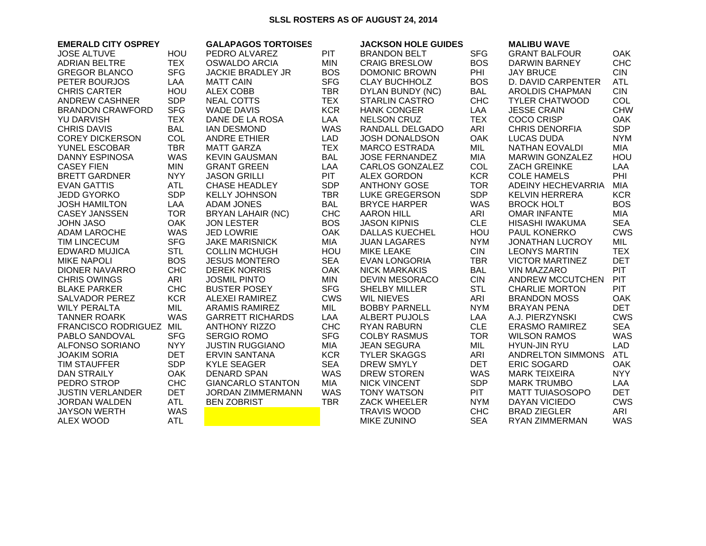## **SLSL ROSTERS AS OF AUGUST 24, 2014**

| <b>EMERALD CITY OSPREY</b> |            | <b>GALAPAGOS TORTOISES</b> |            | <b>JACKSON HOLE GUIDES</b> |            | <b>MALIBU WAVE</b>     |            |
|----------------------------|------------|----------------------------|------------|----------------------------|------------|------------------------|------------|
| <b>JOSE ALTUVE</b>         | HOU        | PEDRO ALVAREZ              | <b>PIT</b> | <b>BRANDON BELT</b>        | <b>SFG</b> | <b>GRANT BALFOUR</b>   | <b>OAK</b> |
| <b>ADRIAN BELTRE</b>       | <b>TEX</b> | <b>OSWALDO ARCIA</b>       | <b>MIN</b> | <b>CRAIG BRESLOW</b>       | <b>BOS</b> | DARWIN BARNEY          | <b>CHC</b> |
| <b>GREGOR BLANCO</b>       | <b>SFG</b> | <b>JACKIE BRADLEY JR</b>   | <b>BOS</b> | DOMONIC BROWN              | PHI        | <b>JAY BRUCE</b>       | <b>CIN</b> |
| PETER BOURJOS              | LAA        | <b>MATT CAIN</b>           | <b>SFG</b> | <b>CLAY BUCHHOLZ</b>       | <b>BOS</b> | D. DAVID CARPENTER     | <b>ATL</b> |
| <b>CHRIS CARTER</b>        | HOU        | <b>ALEX COBB</b>           | <b>TBR</b> | DYLAN BUNDY (NC)           | <b>BAL</b> | <b>AROLDIS CHAPMAN</b> | <b>CIN</b> |
| <b>ANDREW CASHNER</b>      | <b>SDP</b> | <b>NEAL COTTS</b>          | <b>TEX</b> | <b>STARLIN CASTRO</b>      | <b>CHC</b> | <b>TYLER CHATWOOD</b>  | COL        |
| <b>BRANDON CRAWFORD</b>    | <b>SFG</b> | <b>WADE DAVIS</b>          | <b>KCR</b> | <b>HANK CONGER</b>         | LAA        | <b>JESSE CRAIN</b>     | <b>CHW</b> |
| <b>YU DARVISH</b>          | <b>TEX</b> | DANE DE LA ROSA            | LAA        | <b>NELSON CRUZ</b>         | <b>TEX</b> | <b>COCO CRISP</b>      | OAK        |
| <b>CHRIS DAVIS</b>         | <b>BAL</b> | <b>IAN DESMOND</b>         | <b>WAS</b> | RANDALL DELGADO            | ARI        | <b>CHRIS DENORFIA</b>  | <b>SDP</b> |
| <b>COREY DICKERSON</b>     | <b>COL</b> | <b>ANDRE ETHIER</b>        | <b>LAD</b> | <b>JOSH DONALDSON</b>      | <b>OAK</b> | LUCAS DUDA             | <b>NYM</b> |
| YUNEL ESCOBAR              | <b>TBR</b> | <b>MATT GARZA</b>          | <b>TEX</b> | <b>MARCO ESTRADA</b>       | MIL        | NATHAN EOVALDI         | <b>MIA</b> |
| <b>DANNY ESPINOSA</b>      | <b>WAS</b> | <b>KEVIN GAUSMAN</b>       | <b>BAL</b> | <b>JOSE FERNANDEZ</b>      | <b>MIA</b> | <b>MARWIN GONZALEZ</b> | HOU        |
| <b>CASEY FIEN</b>          | <b>MIN</b> | <b>GRANT GREEN</b>         | LAA        | CARLOS GONZALEZ            | <b>COL</b> | <b>ZACH GREINKE</b>    | LAA        |
| <b>BRETT GARDNER</b>       | <b>NYY</b> | <b>JASON GRILLI</b>        | <b>PIT</b> | <b>ALEX GORDON</b>         | <b>KCR</b> | <b>COLE HAMELS</b>     | PHI        |
| <b>EVAN GATTIS</b>         | <b>ATL</b> | <b>CHASE HEADLEY</b>       | <b>SDP</b> | <b>ANTHONY GOSE</b>        | <b>TOR</b> | ADEINY HECHEVARRIA     | <b>MIA</b> |
| <b>JEDD GYORKO</b>         | <b>SDP</b> | <b>KELLY JOHNSON</b>       | <b>TBR</b> | <b>LUKE GREGERSON</b>      | <b>SDP</b> | <b>KELVIN HERRERA</b>  | <b>KCR</b> |
| <b>JOSH HAMILTON</b>       | LAA        | <b>ADAM JONES</b>          | <b>BAL</b> | <b>BRYCE HARPER</b>        | WAS        | <b>BROCK HOLT</b>      | <b>BOS</b> |
| <b>CASEY JANSSEN</b>       | <b>TOR</b> | <b>BRYAN LAHAIR (NC)</b>   | <b>CHC</b> | <b>AARON HILL</b>          | ARI        | <b>OMAR INFANTE</b>    | <b>MIA</b> |
| <b>JOHN JASO</b>           | OAK        | <b>JON LESTER</b>          | <b>BOS</b> | <b>JASON KIPNIS</b>        | <b>CLE</b> | HISASHI IWAKUMA        | <b>SEA</b> |
| ADAM LAROCHE               | <b>WAS</b> | <b>JED LOWRIE</b>          | <b>OAK</b> | <b>DALLAS KUECHEL</b>      | HOU        | <b>PAUL KONERKO</b>    | <b>CWS</b> |
| <b>TIM LINCECUM</b>        | <b>SFG</b> | <b>JAKE MARISNICK</b>      | <b>MIA</b> | <b>JUAN LAGARES</b>        | <b>NYM</b> | <b>JONATHAN LUCROY</b> | MIL        |
| <b>EDWARD MUJICA</b>       | <b>STL</b> | <b>COLLIN MCHUGH</b>       | HOU        | <b>MIKE LEAKE</b>          | <b>CIN</b> | <b>LEONYS MARTIN</b>   | <b>TEX</b> |
| <b>MIKE NAPOLI</b>         | <b>BOS</b> | <b>JESUS MONTERO</b>       | <b>SEA</b> | <b>EVAN LONGORIA</b>       | <b>TBR</b> | <b>VICTOR MARTINEZ</b> | <b>DET</b> |
| <b>DIONER NAVARRO</b>      | <b>CHC</b> | <b>DEREK NORRIS</b>        | OAK        | <b>NICK MARKAKIS</b>       | <b>BAL</b> | <b>VIN MAZZARO</b>     | <b>PIT</b> |
| <b>CHRIS OWINGS</b>        | ARI        | <b>JOSMIL PINTO</b>        | <b>MIN</b> | <b>DEVIN MESORACO</b>      | <b>CIN</b> | ANDREW MCCUTCHEN       | PIT        |
| <b>BLAKE PARKER</b>        | <b>CHC</b> | <b>BUSTER POSEY</b>        | <b>SFG</b> | <b>SHELBY MILLER</b>       | <b>STL</b> | <b>CHARLIE MORTON</b>  | PIT        |
| <b>SALVADOR PEREZ</b>      | <b>KCR</b> | ALEXEI RAMIREZ             | <b>CWS</b> | <b>WIL NIEVES</b>          | ARI        | <b>BRANDON MOSS</b>    | <b>OAK</b> |
| <b>WILY PERALTA</b>        | MIL        | <b>ARAMIS RAMIREZ</b>      | MIL        | <b>BOBBY PARNELL</b>       | <b>NYM</b> | <b>BRAYAN PENA</b>     | <b>DET</b> |
| <b>TANNER ROARK</b>        | <b>WAS</b> | <b>GARRETT RICHARDS</b>    | LAA        | ALBERT PUJOLS              | LAA        | A.J. PIERZYNSKI        | <b>CWS</b> |
| FRANCISCO RODRIGUEZ MIL    |            | <b>ANTHONY RIZZO</b>       | <b>CHC</b> | <b>RYAN RABURN</b>         | <b>CLE</b> | <b>ERASMO RAMIREZ</b>  | <b>SEA</b> |
| PABLO SANDOVAL             | <b>SFG</b> | <b>SERGIO ROMO</b>         | <b>SFG</b> | <b>COLBY RASMUS</b>        | <b>TOR</b> | <b>WILSON RAMOS</b>    | <b>WAS</b> |
| ALFONSO SORIANO            | <b>NYY</b> | <b>JUSTIN RUGGIANO</b>     | MIA        | <b>JEAN SEGURA</b>         | MIL        | <b>HYUN-JIN RYU</b>    | <b>LAD</b> |
| <b>JOAKIM SORIA</b>        | <b>DET</b> | <b>ERVIN SANTANA</b>       | <b>KCR</b> | <b>TYLER SKAGGS</b>        | ARI        | ANDRELTON SIMMONS      | <b>ATL</b> |
| TIM STAUFFER               | <b>SDP</b> | <b>KYLE SEAGER</b>         | <b>SEA</b> | <b>DREW SMYLY</b>          | <b>DET</b> | ERIC SOGARD            | <b>OAK</b> |
| <b>DAN STRAILY</b>         | <b>OAK</b> | <b>DENARD SPAN</b>         | <b>WAS</b> | <b>DREW STOREN</b>         | <b>WAS</b> | <b>MARK TEIXEIRA</b>   | <b>NYY</b> |
| PEDRO STROP                | <b>CHC</b> | <b>GIANCARLO STANTON</b>   | <b>MIA</b> | <b>NICK VINCENT</b>        | <b>SDP</b> | <b>MARK TRUMBO</b>     | LAA        |
| <b>JUSTIN VERLANDER</b>    | <b>DET</b> | JORDAN ZIMMERMANN          | <b>WAS</b> | <b>TONY WATSON</b>         | <b>PIT</b> | <b>MATT TUIASOSOPO</b> | <b>DET</b> |
| <b>JORDAN WALDEN</b>       | <b>ATL</b> | <b>BEN ZOBRIST</b>         | <b>TBR</b> | <b>ZACK WHEELER</b>        | <b>NYM</b> | DAYAN VICIEDO          | <b>CWS</b> |
| <b>JAYSON WERTH</b>        | <b>WAS</b> |                            |            | <b>TRAVIS WOOD</b>         | <b>CHC</b> | <b>BRAD ZIEGLER</b>    | ARI        |
| <b>ALEX WOOD</b>           | <b>ATL</b> |                            |            | <b>MIKE ZUNINO</b>         | <b>SEA</b> | RYAN ZIMMERMAN         | <b>WAS</b> |